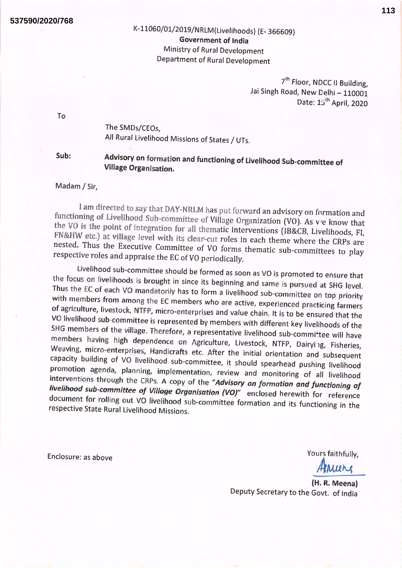## K-11060/01/2019/NRLM(Livelihoods) (E-366609) **Government of India** Ministry of Rural Development **Department of Rural Development**

7<sup>th</sup> Floor, NDCC II Building, Jai Singh Road, New Delhi - 110001 Date: 15th April, 2020

To

The SMDs/CEOs. All Rural Livelihood Missions of States / UTs.

Sub:

Advisory on formation and functioning of Livelihood Sub-committee of **Village Organisation.** 

Madam / Sir,

I am directed to say that DAY-NRLM has put forward an advisory on formation and functioning of Livelihood Sub-committee of Village Organization (VO). As ve know that<br>the VO is the noint of integration for all there is the volume of the VO is the noint of integration for all the the VO is the point of integration for all thematic interventions (IB&CB, Livelihoods, FI,<br>FN&HW etc.) at village lovel with its al FN&HW etc.) at village level with its clear-cut roles in each theme where the CRPs are<br>nested. Thus the Executive Committee of VO 6 nested. Thus the Executive Committee of VO forms thematic sub-committees to play<br>respective roles and appraise the EC of VO. respective roles and appraise the EC of VO periodically.

Livelihood sub-committee should be formed as soon as VO is promoted to ensure that the focus on livelihoods is brought in since its beginning and same is pursued at SHG level. Thus the EC of each VO mandatorily has to form a livelihood sub-committee on top priority<br>with members from among the EC mandatorium of a livelihood sub-committee on top priority with members from among the EC members who are active, experienced practicing farmers<br>of agriculture, livestock, NTEP, misse asternational control of agriculture, livestock, NTEP, misse asternation of agriculture, livestock, NTFP, micro-enterprises and value chain. It is to be ensured that the<br>VO livelihood sub-committee is represented to the chain. It is to be ensured that the VO livelihood sub-committee is represented by members with different key livelihoods of the<br>SHG members of the village Therefore SHG members of the village. Therefore, a representative livelihood sub-committee will have<br>members having high dependence on Agricult in the livelihood sub-committee will have members having high dependence on Agriculture, Livestock, NTFP, Dairyi ig, Fisheries, Weaving, micro-enterprises, Handicrafts etc. After the initial orientation and subsequent<br>capacity building of VO livelihood sub sequestion is that initial orientation and subsequent capacity building of VO livelihood sub-committee, it should spearhead pushing livelihood promotion agenda, planning, implementation, review and monitoring of all livelihood<br>interventions through the CRBs. A sony of the "4.1." interventions through the CRPs. A copy of the "Advisory on formation and functioning of<br>livelihood sub-committee of Village Organicalistic (very on formation and functioning of livelihood sub-committee of Village Organisation (VO)" enclosed herewith for reference document for rolling out VO livelihood sub-committee formation and its functioning in the<br>respective State Rural Livelihood Missions respective State Rural Livelihood Missions.

Enclosure: as above

Yours faithfully, uene

(H. R. Meena) Deputy Secretary to the Govt. of India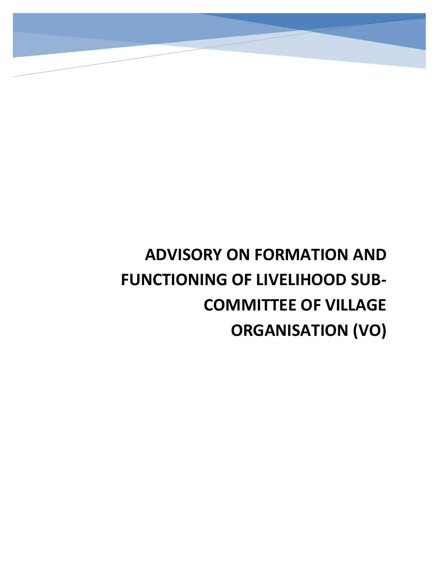# **ADVISORY ON FORMATION AND FUNCTIONING OF LIVELIHOOD SUB-COMMITTEE OF VILLAGE ORGANISATION (VO)**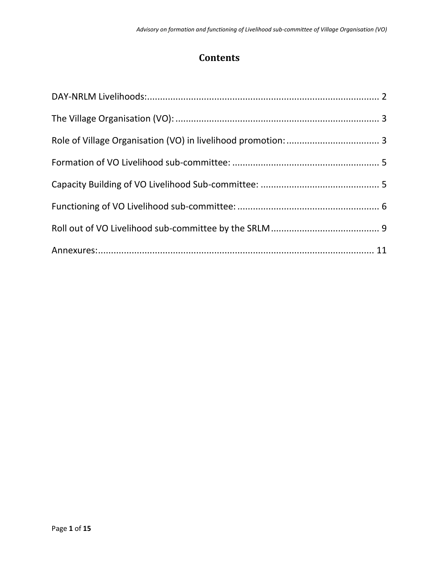# **Contents**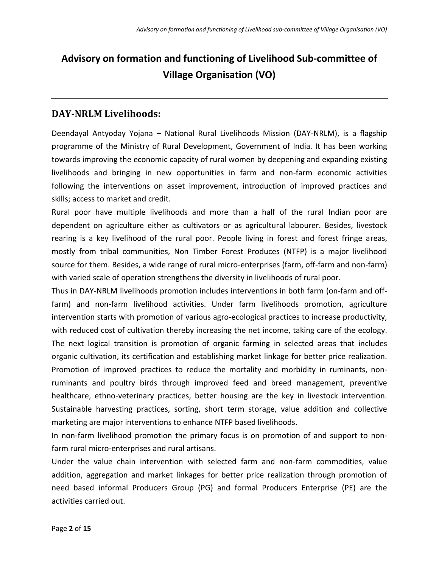# **Advisory on formation and functioning of Livelihood Sub-committee of Village Organisation (VO)**

## <span id="page-3-0"></span>**DAY-NRLM Livelihoods:**

Deendayal Antyoday Yojana – National Rural Livelihoods Mission (DAY-NRLM), is a flagship programme of the Ministry of Rural Development, Government of India. It has been working towards improving the economic capacity of rural women by deepening and expanding existing livelihoods and bringing in new opportunities in farm and non-farm economic activities following the interventions on asset improvement, introduction of improved practices and skills; access to market and credit.

Rural poor have multiple livelihoods and more than a half of the rural Indian poor are dependent on agriculture either as cultivators or as agricultural labourer. Besides, livestock rearing is a key livelihood of the rural poor. People living in forest and forest fringe areas, mostly from tribal communities, Non Timber Forest Produces (NTFP) is a major livelihood source for them. Besides, a wide range of rural micro-enterprises (farm, off-farm and non-farm) with varied scale of operation strengthens the diversity in livelihoods of rural poor.

Thus in DAY-NRLM livelihoods promotion includes interventions in both farm (on-farm and offfarm) and non-farm livelihood activities. Under farm livelihoods promotion, agriculture intervention starts with promotion of various agro-ecological practices to increase productivity, with reduced cost of cultivation thereby increasing the net income, taking care of the ecology. The next logical transition is promotion of organic farming in selected areas that includes organic cultivation, its certification and establishing market linkage for better price realization. Promotion of improved practices to reduce the mortality and morbidity in ruminants, nonruminants and poultry birds through improved feed and breed management, preventive healthcare, ethno-veterinary practices, better housing are the key in livestock intervention. Sustainable harvesting practices, sorting, short term storage, value addition and collective marketing are major interventions to enhance NTFP based livelihoods.

In non-farm livelihood promotion the primary focus is on promotion of and support to nonfarm rural micro-enterprises and rural artisans.

Under the value chain intervention with selected farm and non-farm commodities, value addition, aggregation and market linkages for better price realization through promotion of need based informal Producers Group (PG) and formal Producers Enterprise (PE) are the activities carried out.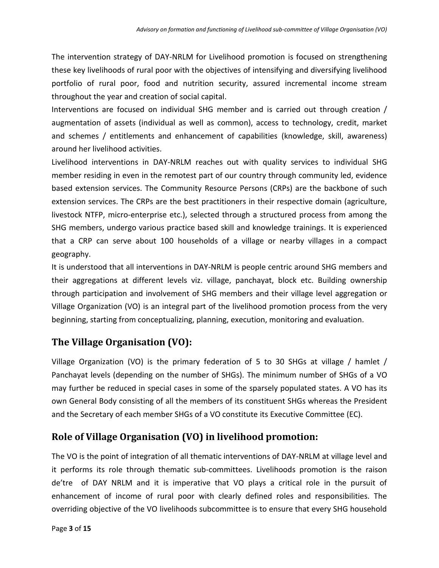The intervention strategy of DAY-NRLM for Livelihood promotion is focused on strengthening these key livelihoods of rural poor with the objectives of intensifying and diversifying livelihood portfolio of rural poor, food and nutrition security, assured incremental income stream throughout the year and creation of social capital.

Interventions are focused on individual SHG member and is carried out through creation / augmentation of assets (individual as well as common), access to technology, credit, market and schemes / entitlements and enhancement of capabilities (knowledge, skill, awareness) around her livelihood activities.

Livelihood interventions in DAY-NRLM reaches out with quality services to individual SHG member residing in even in the remotest part of our country through community led, evidence based extension services. The Community Resource Persons (CRPs) are the backbone of such extension services. The CRPs are the best practitioners in their respective domain (agriculture, livestock NTFP, micro-enterprise etc.), selected through a structured process from among the SHG members, undergo various practice based skill and knowledge trainings. It is experienced that a CRP can serve about 100 households of a village or nearby villages in a compact geography.

It is understood that all interventions in DAY-NRLM is people centric around SHG members and their aggregations at different levels viz. village, panchayat, block etc. Building ownership through participation and involvement of SHG members and their village level aggregation or Village Organization (VO) is an integral part of the livelihood promotion process from the very beginning, starting from conceptualizing, planning, execution, monitoring and evaluation.

# <span id="page-4-0"></span>**The Village Organisation (VO):**

Village Organization (VO) is the primary federation of 5 to 30 SHGs at village / hamlet / Panchayat levels (depending on the number of SHGs). The minimum number of SHGs of a VO may further be reduced in special cases in some of the sparsely populated states. A VO has its own General Body consisting of all the members of its constituent SHGs whereas the President and the Secretary of each member SHGs of a VO constitute its Executive Committee (EC).

# <span id="page-4-1"></span>**Role of Village Organisation (VO) in livelihood promotion:**

The VO is the point of integration of all thematic interventions of DAY-NRLM at village level and it performs its role through thematic sub-committees. Livelihoods promotion is the raison de'tre of DAY NRLM and it is imperative that VO plays a critical role in the pursuit of enhancement of income of rural poor with clearly defined roles and responsibilities. The overriding objective of the VO livelihoods subcommittee is to ensure that every SHG household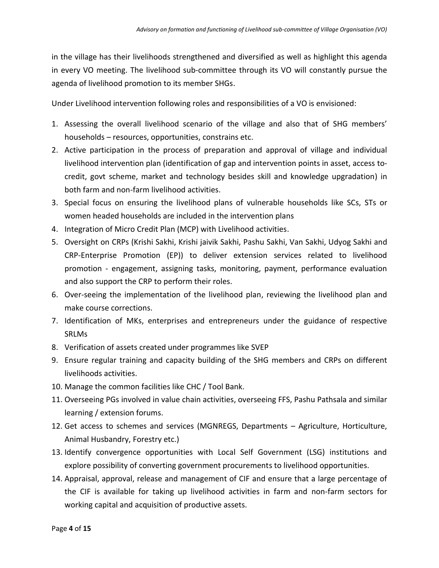in the village has their livelihoods strengthened and diversified as well as highlight this agenda in every VO meeting. The livelihood sub-committee through its VO will constantly pursue the agenda of livelihood promotion to its member SHGs.

Under Livelihood intervention following roles and responsibilities of a VO is envisioned:

- 1. Assessing the overall livelihood scenario of the village and also that of SHG members' households – resources, opportunities, constrains etc.
- 2. Active participation in the process of preparation and approval of village and individual livelihood intervention plan (identification of gap and intervention points in asset, access tocredit, govt scheme, market and technology besides skill and knowledge upgradation) in both farm and non-farm livelihood activities.
- 3. Special focus on ensuring the livelihood plans of vulnerable households like SCs, STs or women headed households are included in the intervention plans
- 4. Integration of Micro Credit Plan (MCP) with Livelihood activities.
- 5. Oversight on CRPs (Krishi Sakhi, Krishi jaivik Sakhi, Pashu Sakhi, Van Sakhi, Udyog Sakhi and CRP-Enterprise Promotion (EP)) to deliver extension services related to livelihood promotion - engagement, assigning tasks, monitoring, payment, performance evaluation and also support the CRP to perform their roles.
- 6. Over-seeing the implementation of the livelihood plan, reviewing the livelihood plan and make course corrections.
- 7. Identification of MKs, enterprises and entrepreneurs under the guidance of respective SRLMs
- 8. Verification of assets created under programmes like SVEP
- 9. Ensure regular training and capacity building of the SHG members and CRPs on different livelihoods activities.
- 10. Manage the common facilities like CHC / Tool Bank.
- 11. Overseeing PGs involved in value chain activities, overseeing FFS, Pashu Pathsala and similar learning / extension forums.
- 12. Get access to schemes and services (MGNREGS, Departments Agriculture, Horticulture, Animal Husbandry, Forestry etc.)
- 13. Identify convergence opportunities with Local Self Government (LSG) institutions and explore possibility of converting government procurements to livelihood opportunities.
- 14. Appraisal, approval, release and management of CIF and ensure that a large percentage of the CIF is available for taking up livelihood activities in farm and non-farm sectors for working capital and acquisition of productive assets.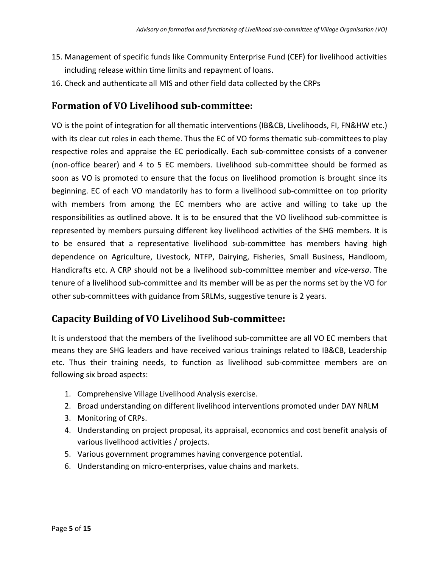- 15. Management of specific funds like Community Enterprise Fund (CEF) for livelihood activities including release within time limits and repayment of loans.
- 16. Check and authenticate all MIS and other field data collected by the CRPs

## <span id="page-6-0"></span>**Formation of VO Livelihood sub-committee:**

VO is the point of integration for all thematic interventions (IB&CB, Livelihoods, FI, FN&HW etc.) with its clear cut roles in each theme. Thus the EC of VO forms thematic sub-committees to play respective roles and appraise the EC periodically. Each sub-committee consists of a convener (non-office bearer) and 4 to 5 EC members. Livelihood sub-committee should be formed as soon as VO is promoted to ensure that the focus on livelihood promotion is brought since its beginning. EC of each VO mandatorily has to form a livelihood sub-committee on top priority with members from among the EC members who are active and willing to take up the responsibilities as outlined above. It is to be ensured that the VO livelihood sub-committee is represented by members pursuing different key livelihood activities of the SHG members. It is to be ensured that a representative livelihood sub-committee has members having high dependence on Agriculture, Livestock, NTFP, Dairying, Fisheries, Small Business, Handloom, Handicrafts etc. A CRP should not be a livelihood sub-committee member and *vice-versa*. The tenure of a livelihood sub-committee and its member will be as per the norms set by the VO for other sub-committees with guidance from SRLMs, suggestive tenure is 2 years.

## <span id="page-6-1"></span>**Capacity Building of VO Livelihood Sub-committee:**

It is understood that the members of the livelihood sub-committee are all VO EC members that means they are SHG leaders and have received various trainings related to IB&CB, Leadership etc. Thus their training needs, to function as livelihood sub-committee members are on following six broad aspects:

- 1. Comprehensive Village Livelihood Analysis exercise.
- 2. Broad understanding on different livelihood interventions promoted under DAY NRLM
- 3. Monitoring of CRPs.
- 4. Understanding on project proposal, its appraisal, economics and cost benefit analysis of various livelihood activities / projects.
- 5. Various government programmes having convergence potential.
- 6. Understanding on micro-enterprises, value chains and markets.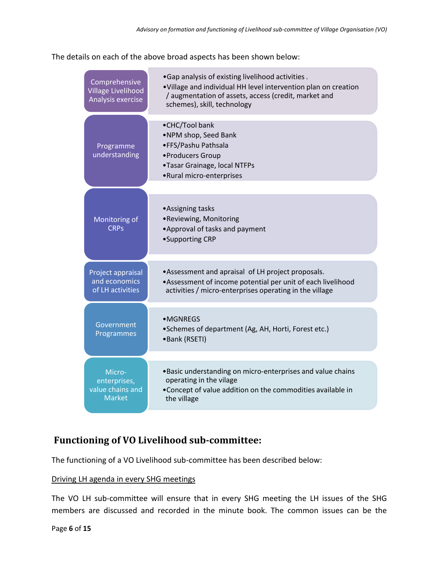The details on each of the above broad aspects has been shown below:

| Comprehensive<br><b>Village Livelihood</b><br>Analysis exercise | . Gap analysis of existing livelihood activities .<br>.Village and individual HH level intervention plan on creation<br>/ augmentation of assets, access (credit, market and<br>schemes), skill, technology |
|-----------------------------------------------------------------|-------------------------------------------------------------------------------------------------------------------------------------------------------------------------------------------------------------|
| Programme<br>understanding                                      | •CHC/Tool bank<br>.NPM shop, Seed Bank<br>•FFS/Pashu Pathsala<br>·Producers Group<br>•Tasar Grainage, local NTFPs<br>•Rural micro-enterprises                                                               |
| Monitoring of<br><b>CRPs</b>                                    | •Assigning tasks<br>•Reviewing, Monitoring<br>• Approval of tasks and payment<br>•Supporting CRP                                                                                                            |
| Project appraisal<br>and economics<br>of LH activities          | •Assessment and apraisal of LH project proposals.<br>• Assessment of income potential per unit of each livelihood<br>activities / micro-enterprises operating in the village                                |
| Government<br>Programmes                                        | $\bullet$ MGNREGS<br>• Schemes of department (Ag, AH, Horti, Forest etc.)<br>•Bank (RSETI)                                                                                                                  |
|                                                                 |                                                                                                                                                                                                             |
| Micro-<br>enterprises,<br>value chains and<br><b>Market</b>     | . Basic understanding on micro-enterprises and value chains<br>operating in the vilage<br>•Concept of value addition on the commodities available in<br>the village                                         |

## <span id="page-7-0"></span>**Functioning of VO Livelihood sub-committee:**

The functioning of a VO Livelihood sub-committee has been described below:

## Driving LH agenda in every SHG meetings

The VO LH sub-committee will ensure that in every SHG meeting the LH issues of the SHG members are discussed and recorded in the minute book. The common issues can be the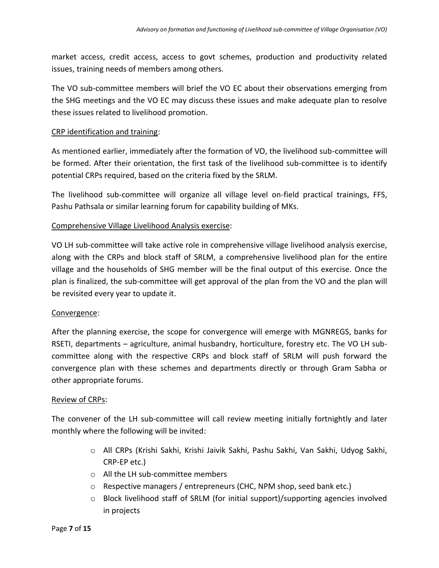market access, credit access, access to govt schemes, production and productivity related issues, training needs of members among others.

The VO sub-committee members will brief the VO EC about their observations emerging from the SHG meetings and the VO EC may discuss these issues and make adequate plan to resolve these issues related to livelihood promotion.

## CRP identification and training:

As mentioned earlier, immediately after the formation of VO, the livelihood sub-committee will be formed. After their orientation, the first task of the livelihood sub-committee is to identify potential CRPs required, based on the criteria fixed by the SRLM.

The livelihood sub-committee will organize all village level on-field practical trainings, FFS, Pashu Pathsala or similar learning forum for capability building of MKs.

## Comprehensive Village Livelihood Analysis exercise:

VO LH sub-committee will take active role in comprehensive village livelihood analysis exercise, along with the CRPs and block staff of SRLM, a comprehensive livelihood plan for the entire village and the households of SHG member will be the final output of this exercise. Once the plan is finalized, the sub-committee will get approval of the plan from the VO and the plan will be revisited every year to update it.

#### Convergence:

After the planning exercise, the scope for convergence will emerge with MGNREGS, banks for RSETI, departments – agriculture, animal husbandry, horticulture, forestry etc. The VO LH subcommittee along with the respective CRPs and block staff of SRLM will push forward the convergence plan with these schemes and departments directly or through Gram Sabha or other appropriate forums.

#### Review of CRPs:

The convener of the LH sub-committee will call review meeting initially fortnightly and later monthly where the following will be invited:

- o All CRPs (Krishi Sakhi, Krishi Jaivik Sakhi, Pashu Sakhi, Van Sakhi, Udyog Sakhi, CRP-EP etc.)
- o All the LH sub-committee members
- $\circ$  Respective managers / entrepreneurs (CHC, NPM shop, seed bank etc.)
- $\circ$  Block livelihood staff of SRLM (for initial support)/supporting agencies involved in projects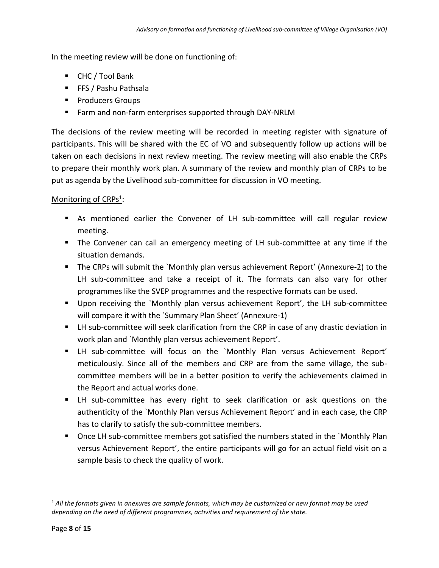In the meeting review will be done on functioning of:

- CHC / Tool Bank
- FFS / Pashu Pathsala
- Producers Groups
- Farm and non-farm enterprises supported through DAY-NRLM

The decisions of the review meeting will be recorded in meeting register with signature of participants. This will be shared with the EC of VO and subsequently follow up actions will be taken on each decisions in next review meeting. The review meeting will also enable the CRPs to prepare their monthly work plan. A summary of the review and monthly plan of CRPs to be put as agenda by the Livelihood sub-committee for discussion in VO meeting.

## Monitoring of CRPs<sup>1</sup>:

- As mentioned earlier the Convener of LH sub-committee will call regular review meeting.
- The Convener can call an emergency meeting of LH sub-committee at any time if the situation demands.
- The CRPs will submit the `Monthly plan versus achievement Report' (Annexure-2) to the LH sub-committee and take a receipt of it. The formats can also vary for other programmes like the SVEP programmes and the respective formats can be used.
- Upon receiving the `Monthly plan versus achievement Report', the LH sub-committee will compare it with the `Summary Plan Sheet' (Annexure-1)
- LH sub-committee will seek clarification from the CRP in case of any drastic deviation in work plan and `Monthly plan versus achievement Report'.
- LH sub-committee will focus on the `Monthly Plan versus Achievement Report' meticulously. Since all of the members and CRP are from the same village, the subcommittee members will be in a better position to verify the achievements claimed in the Report and actual works done.
- LH sub-committee has every right to seek clarification or ask questions on the authenticity of the `Monthly Plan versus Achievement Report' and in each case, the CRP has to clarify to satisfy the sub-committee members.
- Once LH sub-committee members got satisfied the numbers stated in the `Monthly Plan versus Achievement Report', the entire participants will go for an actual field visit on a sample basis to check the quality of work.

<sup>1</sup> *All the formats given in anexures are sample formats, which may be customized or new format may be used depending on the need of different programmes, activities and requirement of the state.*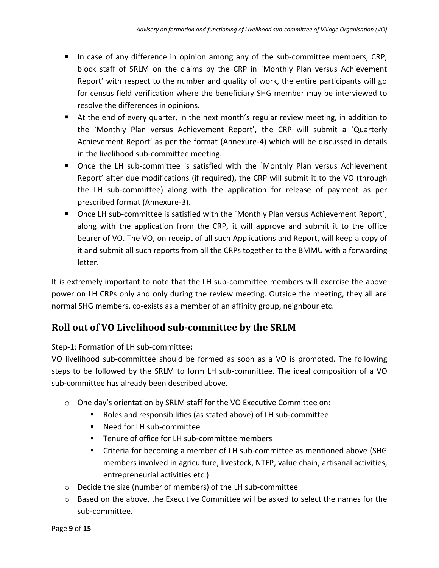- In case of any difference in opinion among any of the sub-committee members, CRP, block staff of SRLM on the claims by the CRP in `Monthly Plan versus Achievement Report' with respect to the number and quality of work, the entire participants will go for census field verification where the beneficiary SHG member may be interviewed to resolve the differences in opinions.
- At the end of every quarter, in the next month's regular review meeting, in addition to the `Monthly Plan versus Achievement Report', the CRP will submit a `Quarterly Achievement Report' as per the format (Annexure-4) which will be discussed in details in the livelihood sub-committee meeting.
- Once the LH sub-committee is satisfied with the `Monthly Plan versus Achievement Report' after due modifications (if required), the CRP will submit it to the VO (through the LH sub-committee) along with the application for release of payment as per prescribed format (Annexure-3).
- Once LH sub-committee is satisfied with the `Monthly Plan versus Achievement Report', along with the application from the CRP, it will approve and submit it to the office bearer of VO. The VO, on receipt of all such Applications and Report, will keep a copy of it and submit all such reports from all the CRPs together to the BMMU with a forwarding letter.

It is extremely important to note that the LH sub-committee members will exercise the above power on LH CRPs only and only during the review meeting. Outside the meeting, they all are normal SHG members, co-exists as a member of an affinity group, neighbour etc.

## <span id="page-10-0"></span>**Roll out of VO Livelihood sub-committee by the SRLM**

## Step-1: Formation of LH sub-committee**:**

VO livelihood sub-committee should be formed as soon as a VO is promoted. The following steps to be followed by the SRLM to form LH sub-committee. The ideal composition of a VO sub-committee has already been described above.

- o One day's orientation by SRLM staff for the VO Executive Committee on:
	- Roles and responsibilities (as stated above) of LH sub-committee
	- Need for LH sub-committee
	- Tenure of office for LH sub-committee members
	- Criteria for becoming a member of LH sub-committee as mentioned above (SHG members involved in agriculture, livestock, NTFP, value chain, artisanal activities, entrepreneurial activities etc.)
- o Decide the size (number of members) of the LH sub-committee
- $\circ$  Based on the above, the Executive Committee will be asked to select the names for the sub-committee.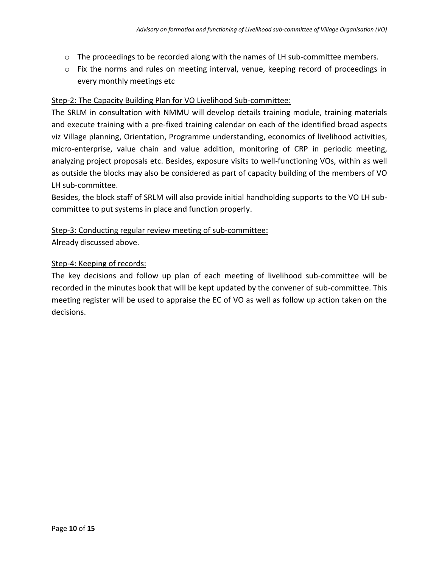- $\circ$  The proceedings to be recorded along with the names of LH sub-committee members.
- o Fix the norms and rules on meeting interval, venue, keeping record of proceedings in every monthly meetings etc

## Step-2: The Capacity Building Plan for VO Livelihood Sub-committee:

The SRLM in consultation with NMMU will develop details training module, training materials and execute training with a pre-fixed training calendar on each of the identified broad aspects viz Village planning, Orientation, Programme understanding, economics of livelihood activities, micro-enterprise, value chain and value addition, monitoring of CRP in periodic meeting, analyzing project proposals etc. Besides, exposure visits to well-functioning VOs, within as well as outside the blocks may also be considered as part of capacity building of the members of VO LH sub-committee.

Besides, the block staff of SRLM will also provide initial handholding supports to the VO LH subcommittee to put systems in place and function properly.

## Step-3: Conducting regular review meeting of sub-committee:

Already discussed above.

## Step-4: Keeping of records:

The key decisions and follow up plan of each meeting of livelihood sub-committee will be recorded in the minutes book that will be kept updated by the convener of sub-committee. This meeting register will be used to appraise the EC of VO as well as follow up action taken on the decisions.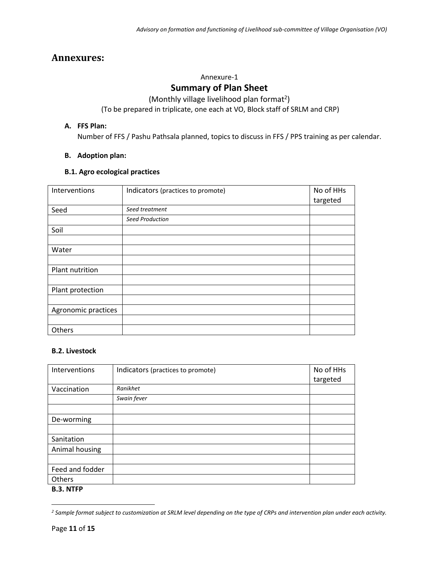## <span id="page-12-0"></span>**Annexures:**

#### Annexure-1

## **Summary of Plan Sheet**

(Monthly village livelihood plan format<sup>2</sup>)

(To be prepared in triplicate, one each at VO, Block staff of SRLM and CRP)

## **A. FFS Plan:**

Number of FFS / Pashu Pathsala planned, topics to discuss in FFS / PPS training as per calendar.

## **B. Adoption plan:**

#### **B.1. Agro ecological practices**

| Interventions       | Indicators (practices to promote) | No of HHs<br>targeted |
|---------------------|-----------------------------------|-----------------------|
| Seed                | Seed treatment                    |                       |
|                     | Seed Production                   |                       |
| Soil                |                                   |                       |
|                     |                                   |                       |
| Water               |                                   |                       |
|                     |                                   |                       |
| Plant nutrition     |                                   |                       |
|                     |                                   |                       |
| Plant protection    |                                   |                       |
|                     |                                   |                       |
| Agronomic practices |                                   |                       |
|                     |                                   |                       |
| Others              |                                   |                       |

## **B.2. Livestock**

| Interventions    | Indicators (practices to promote) | No of HHs |
|------------------|-----------------------------------|-----------|
|                  |                                   | targeted  |
| Vaccination      | Ranikhet                          |           |
|                  | Swain fever                       |           |
|                  |                                   |           |
| De-worming       |                                   |           |
|                  |                                   |           |
| Sanitation       |                                   |           |
| Animal housing   |                                   |           |
|                  |                                   |           |
| Feed and fodder  |                                   |           |
| Others           |                                   |           |
| <b>B.3. NTFP</b> |                                   |           |

*<sup>2</sup> Sample format subject to customization at SRLM level depending on the type of CRPs and intervention plan under each activity.*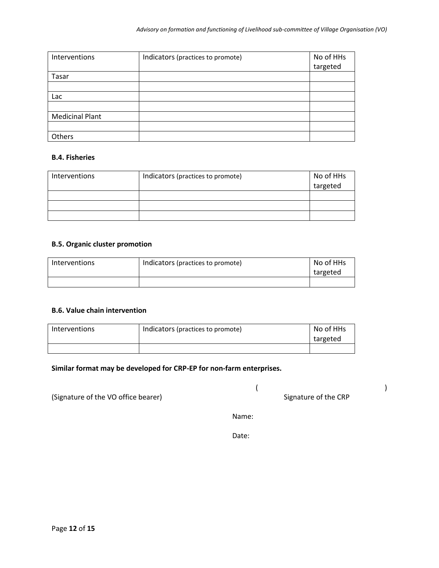| Interventions          | Indicators (practices to promote) | No of HHs |
|------------------------|-----------------------------------|-----------|
|                        |                                   | targeted  |
| Tasar                  |                                   |           |
|                        |                                   |           |
| Lac                    |                                   |           |
|                        |                                   |           |
| <b>Medicinal Plant</b> |                                   |           |
|                        |                                   |           |
| Others                 |                                   |           |

#### **B.4. Fisheries**

| Interventions | Indicators (practices to promote) | No of HHs |
|---------------|-----------------------------------|-----------|
|               |                                   | targeted  |
|               |                                   |           |
|               |                                   |           |
|               |                                   |           |

## **B.5. Organic cluster promotion**

| <b>Interventions</b> | Indicators (practices to promote) | No of HHs |
|----------------------|-----------------------------------|-----------|
|                      |                                   | targeted  |
|                      |                                   |           |

#### **B.6. Value chain intervention**

| Interventions | Indicators (practices to promote) | No of HHs |
|---------------|-----------------------------------|-----------|
|               |                                   | targeted  |
|               |                                   |           |

**Similar format may be developed for CRP-EP for non-farm enterprises.**

(Signature of the VO office bearer) Signature of the CRP

 $($ 

Name:

Date: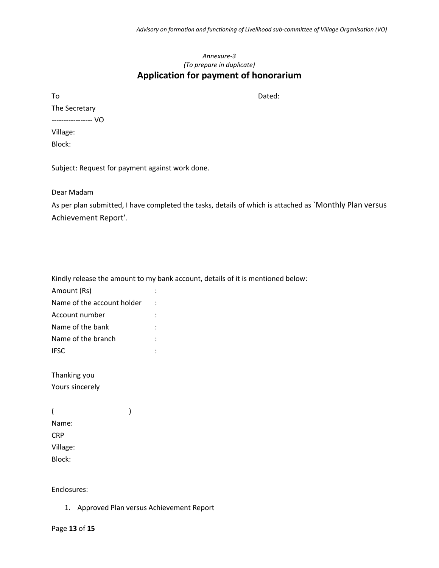## *Annexure-3 (To prepare in duplicate)* **Application for payment of honorarium**

To Dated:

The Secretary ----------------- VO

Village:

Block:

Subject: Request for payment against work done.

Dear Madam

As per plan submitted, I have completed the tasks, details of which is attached as `Monthly Plan versus Achievement Report'.

Kindly release the amount to my bank account, details of it is mentioned below:

| Amount (Rs)                |  |
|----------------------------|--|
| Name of the account holder |  |
| Account number             |  |
| Name of the bank           |  |
| Name of the branch         |  |
| <b>IFSC</b>                |  |

Thanking you Yours sincerely

| $\overline{ }$ |  |
|----------------|--|
| Name:          |  |
| <b>CRP</b>     |  |
| Village:       |  |
| Block:         |  |
|                |  |

Enclosures:

1. Approved Plan versus Achievement Report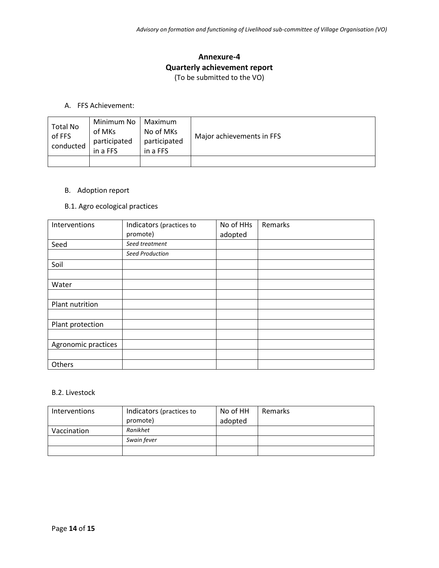## **Annexure-4 Quarterly achievement report**  (To be submitted to the VO)

#### A. FFS Achievement:

| <b>Total No</b><br>of FFS<br>conducted | Minimum No<br>of MKs<br>participated<br>in a FFS | Maximum<br>No of MKs<br>participated<br>in a FFS | Major achievements in FFS |
|----------------------------------------|--------------------------------------------------|--------------------------------------------------|---------------------------|
|                                        |                                                  |                                                  |                           |

## B. Adoption report

## B.1. Agro ecological practices

| Interventions       | Indicators (practices to | No of HHs | Remarks |
|---------------------|--------------------------|-----------|---------|
|                     | promote)                 | adopted   |         |
| Seed                | Seed treatment           |           |         |
|                     | Seed Production          |           |         |
| Soil                |                          |           |         |
|                     |                          |           |         |
| Water               |                          |           |         |
|                     |                          |           |         |
| Plant nutrition     |                          |           |         |
|                     |                          |           |         |
| Plant protection    |                          |           |         |
|                     |                          |           |         |
| Agronomic practices |                          |           |         |
|                     |                          |           |         |
| Others              |                          |           |         |

#### B.2. Livestock

| <b>Interventions</b> | Indicators (practices to | No of HH | Remarks |
|----------------------|--------------------------|----------|---------|
|                      | promote)                 | adopted  |         |
| Vaccination          | Ranikhet                 |          |         |
|                      | Swain fever              |          |         |
|                      |                          |          |         |